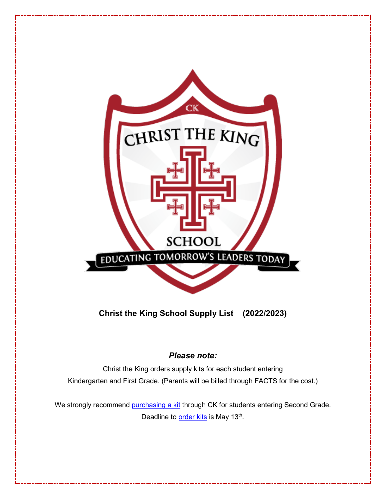

**Christ the King School Supply List (2022/2023)**

# *Please note:*

Christ the King orders supply kits for each student entering Kindergarten and First Grade. (Parents will be billed through FACTS for the cost.)

We strongly recommend [purchasing a kit](https://forms.gle/yCmFfTZtuWYiuj7Q8) through CK for students entering Second Grade. Deadline to **order kits** is May 13<sup>th</sup>.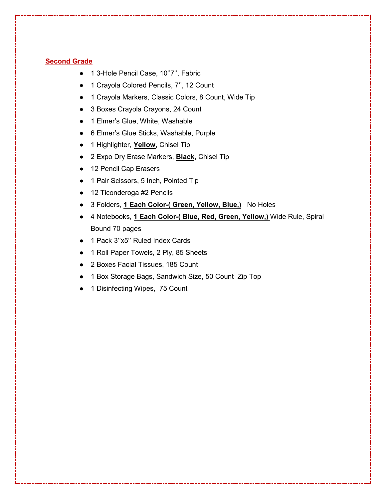# **Second Grade**

- 1 3-Hole Pencil Case, 10"7", Fabric
- 1 Crayola Colored Pencils, 7", 12 Count
- 1 Crayola Markers, Classic Colors, 8 Count, Wide Tip
- 3 Boxes Crayola Crayons, 24 Count
- 1 Elmer's Glue, White, Washable
- 6 Elmer's Glue Sticks, Washable, Purple
- 1 Highlighter, **Yellow**, Chisel Tip
- 2 Expo Dry Erase Markers, **Black**, Chisel Tip
- 12 Pencil Cap Erasers
- 1 Pair Scissors, 5 Inch, Pointed Tip
- 12 Ticonderoga #2 Pencils
- 3 Folders, **1 Each Color-( Green, Yellow, Blue,)** No Holes
- 4 Notebooks, **1 Each Color-( Blue, Red, Green, Yellow,)** Wide Rule, Spiral Bound 70 pages
- 1 Pack 3"x5" Ruled Index Cards
- 1 Roll Paper Towels, 2 Ply, 85 Sheets
- 2 Boxes Facial Tissues, 185 Count
- 1 Box Storage Bags, Sandwich Size, 50 Count Zip Top
- 1 Disinfecting Wipes, 75 Count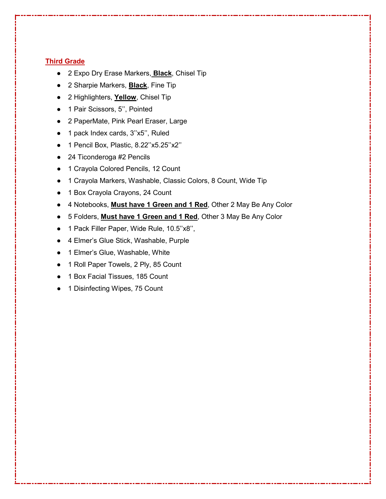# **Third Grade**

- 2 Expo Dry Erase Markers, **Black**, Chisel Tip
- 2 Sharpie Markers, **Black**, Fine Tip
- 2 Highlighters, **Yellow**, Chisel Tip
- 1 Pair Scissors, 5", Pointed
- 2 PaperMate, Pink Pearl Eraser, Large
- 1 pack Index cards, 3''x5'', Ruled
- 1 Pencil Box, Plastic, 8.22"x5.25"x2"
- 24 Ticonderoga #2 Pencils
- 1 Crayola Colored Pencils, 12 Count
- 1 Crayola Markers, Washable, Classic Colors, 8 Count, Wide Tip
- 1 Box Crayola Crayons, 24 Count
- 4 Notebooks, **Must have 1 Green and 1 Red**, Other 2 May Be Any Color
- 5 Folders, **Must have 1 Green and 1 Red**, Other 3 May Be Any Color
- 1 Pack Filler Paper, Wide Rule, 10.5"x8",
- 4 Elmer's Glue Stick, Washable, Purple
- 1 Elmer's Glue, Washable, White
- 1 Roll Paper Towels, 2 Ply, 85 Count
- 1 Box Facial Tissues, 185 Count
- 1 Disinfecting Wipes, 75 Count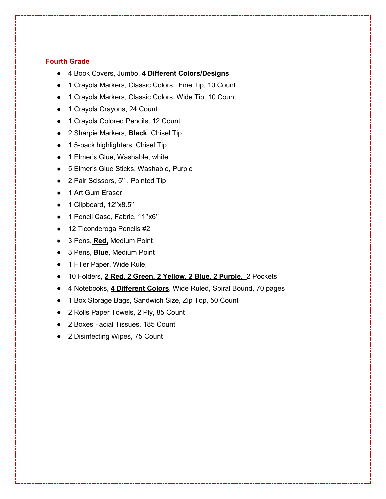# **Fourth Grade**

- 4 Book Covers, Jumbo, **4 Different Colors/Designs**
- 1 Crayola Markers, Classic Colors, Fine Tip, 10 Count
- 1 Crayola Markers, Classic Colors, Wide Tip, 10 Count
- 1 Crayola Crayons, 24 Count
- 1 Crayola Colored Pencils, 12 Count
- 2 Sharpie Markers, **Black**, Chisel Tip
- 1 5-pack highlighters, Chisel Tip
- 1 Elmer's Glue, Washable, white
- 5 Elmer's Glue Sticks, Washable, Purple
- 2 Pair Scissors, 5", Pointed Tip
- 1 Art Gum Eraser
- 1 Clipboard, 12''x8.5''
- 1 Pencil Case, Fabric, 11"x6"
- 12 Ticonderoga Pencils #2
- 3 Pens, **Red,** Medium Point
- 3 Pens, **Blue,** Medium Point
- 1 Filler Paper, Wide Rule,
- 10 Folders, **2 Red, 2 Green, 2 Yellow, 2 Blue, 2 Purple,** 2 Pockets
- 4 Notebooks, **4 Different Colors**, Wide Ruled, Spiral Bound, 70 pages
- 1 Box Storage Bags, Sandwich Size, Zip Top, 50 Count
- 2 Rolls Paper Towels, 2 Ply, 85 Count
- 2 Boxes Facial Tissues, 185 Count
- 2 Disinfecting Wipes, 75 Count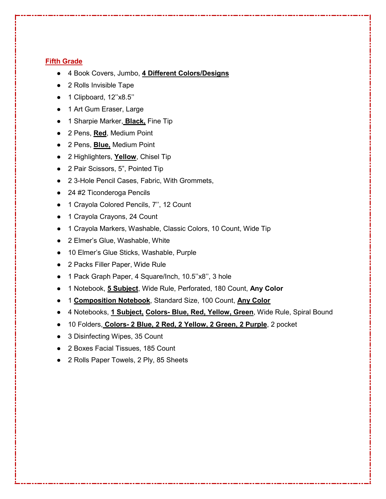## **Fifth Grade**

- 4 Book Covers, Jumbo, **4 Different Colors/Designs**
- 2 Rolls Invisible Tape
- 1 Clipboard, 12"x8.5"
- 1 Art Gum Eraser, Large
- 1 Sharpie Marker, **Black,** Fine Tip
- 2 Pens, **Red**, Medium Point
- 2 Pens, **Blue,** Medium Point
- 2 Highlighters, **Yellow**, Chisel Tip
- 2 Pair Scissors, 5", Pointed Tip
- 2 3-Hole Pencil Cases, Fabric, With Grommets,
- 24 #2 Ticonderoga Pencils
- 1 Crayola Colored Pencils, 7", 12 Count
- 1 Crayola Crayons, 24 Count
- 1 Crayola Markers, Washable, Classic Colors, 10 Count, Wide Tip
- 2 Elmer's Glue, Washable, White
- 10 Elmer's Glue Sticks, Washable, Purple
- 2 Packs Filler Paper, Wide Rule
- 1 Pack Graph Paper, 4 Square/Inch, 10.5"x8", 3 hole
- 1 Notebook, **5 Subject**, Wide Rule, Perforated, 180 Count, **Any Color**
- 1 **Composition Notebook**, Standard Size, 100 Count, **Any Color**
- 4 Notebooks, **1 Subject, Colors- Blue, Red, Yellow, Green**, Wide Rule, Spiral Bound
- 10 Folders, **Colors- 2 Blue, 2 Red, 2 Yellow, 2 Green, 2 Purple**, 2 pocket
- 3 Disinfecting Wipes, 35 Count
- 2 Boxes Facial Tissues, 185 Count
- 2 Rolls Paper Towels, 2 Ply, 85 Sheets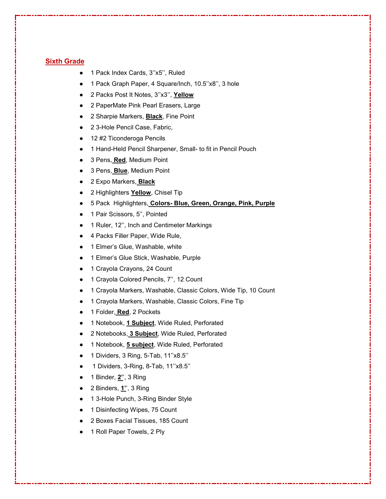### **Sixth Grade**

- 1 Pack Index Cards, 3"x5", Ruled
- 1 Pack Graph Paper, 4 Square/Inch, 10.5"x8", 3 hole
- 2 Packs Post It Notes, 3''x3'', **Yellow**
- 2 PaperMate Pink Pearl Erasers, Large
- 2 Sharpie Markers, **Black**, Fine Point
- 2 3-Hole Pencil Case, Fabric,
- 12 #2 Ticonderoga Pencils
- 1 Hand-Held Pencil Sharpener, Small- to fit in Pencil Pouch
- 3 Pens, **Red**, Medium Point
- 3 Pens, **Blue**, Medium Point
- 2 Expo Markers, **Black**
- 2 Highlighters Yellow, Chisel Tip
- 5 Pack Highlighters, **Colors- Blue, Green, Orange, Pink, Purple**
- 1 Pair Scissors, 5", Pointed
- 1 Ruler, 12", Inch and Centimeter Markings
- 4 Packs Filler Paper, Wide Rule,
- 1 Elmer's Glue, Washable, white
- 1 Elmer's Glue Stick, Washable, Purple
- 1 Crayola Crayons, 24 Count
- 1 Crayola Colored Pencils, 7'', 12 Count
- 1 Crayola Markers, Washable, Classic Colors, Wide Tip, 10 Count
- 1 Crayola Markers, Washable, Classic Colors, Fine Tip
- 1 Folder, **Red**, 2 Pockets
- 1 Notebook, **1 Subject**, Wide Ruled, Perforated
- 2 Notebooks, 3 Subject, Wide Ruled, Perforated
- 1 Notebook, **5 subject**, Wide Ruled, Perforated
- 1 Dividers, 3 Ring, 5-Tab, 11"x8.5"
- 1 Dividers, 3-Ring, 8-Tab, 11''x8.5''
- 1 Binder, **2'**', 3 Ring
- 2 Binders, **1'**', 3 Ring
- 1 3-Hole Punch, 3-Ring Binder Style
- 1 Disinfecting Wipes, 75 Count
- 2 Boxes Facial Tissues, 185 Count
- 1 Roll Paper Towels, 2 Ply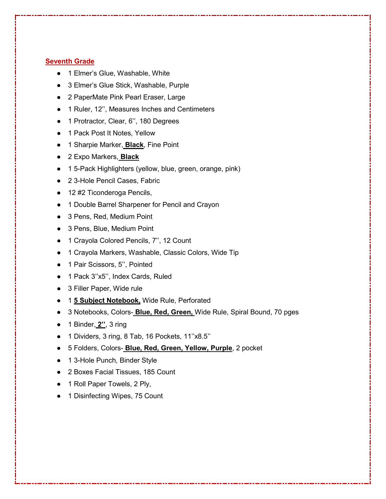## **Seventh Grade**

- 1 Elmer's Glue, Washable, White
- 3 Elmer's Glue Stick, Washable, Purple
- 2 PaperMate Pink Pearl Eraser, Large
- 1 Ruler, 12'', Measures Inches and Centimeters
- 1 Protractor, Clear, 6'', 180 Degrees
- 1 Pack Post It Notes, Yellow
- 1 Sharpie Marker, **Black**, Fine Point
- 2 Expo Markers, **Black**
- 1 5-Pack Highlighters (yellow, blue, green, orange, pink)
- 2 3-Hole Pencil Cases, Fabric
- 12 #2 Ticonderoga Pencils,
- 1 Double Barrel Sharpener for Pencil and Crayon
- 3 Pens, Red, Medium Point
- 3 Pens, Blue, Medium Point
- 1 Crayola Colored Pencils, 7", 12 Count
- 1 Crayola Markers, Washable, Classic Colors, Wide Tip
- 1 Pair Scissors, 5", Pointed
- 1 Pack 3''x5'', Index Cards, Ruled
- 3 Filler Paper, Wide rule
- 1 **5 Subject Notebook,** Wide Rule, Perforated
- 3 Notebooks, Colors- **Blue, Red, Green,** Wide Rule, Spiral Bound, 70 pges
- 1 Binder, **2''**, 3 ring
- 1 Dividers, 3 ring, 8 Tab, 16 Pockets, 11''x8.5''
- 5 Folders, Colors- **Blue, Red, Green, Yellow, Purple**, 2 pocket
- 1 3-Hole Punch, Binder Style
- 2 Boxes Facial Tissues, 185 Count
- 1 Roll Paper Towels, 2 Ply,
- 1 Disinfecting Wipes, 75 Count